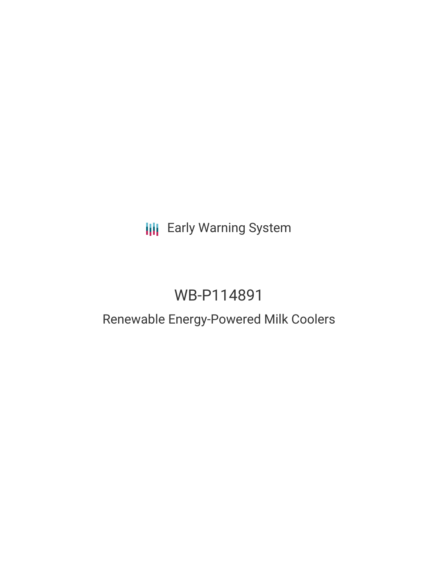# **III** Early Warning System

# WB-P114891

# Renewable Energy-Powered Milk Coolers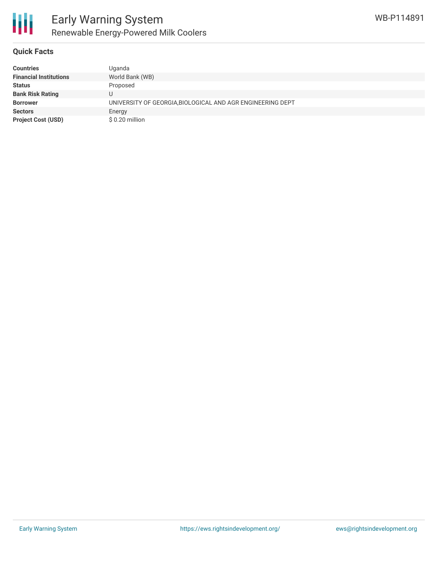

### **Quick Facts**

| <b>Countries</b>              | Uganda                                                     |
|-------------------------------|------------------------------------------------------------|
| <b>Financial Institutions</b> | World Bank (WB)                                            |
| <b>Status</b>                 | Proposed                                                   |
| <b>Bank Risk Rating</b>       |                                                            |
| <b>Borrower</b>               | UNIVERSITY OF GEORGIA, BIOLOGICAL AND AGR ENGINEERING DEPT |
| <b>Sectors</b>                | Energy                                                     |
| <b>Project Cost (USD)</b>     | \$0.20 million                                             |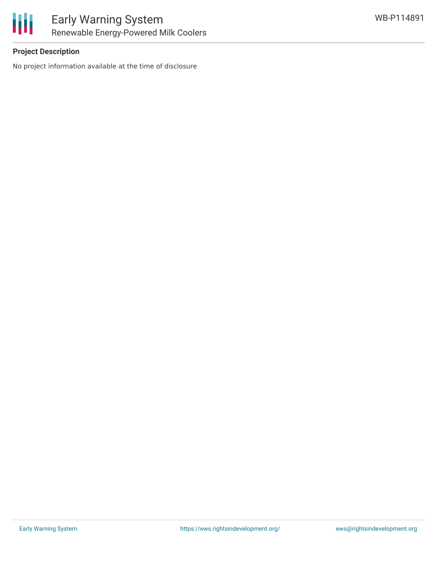

## **Project Description**

No project information available at the time of disclosure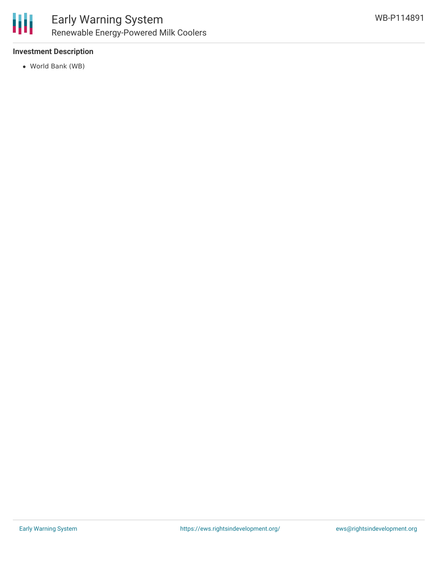

## **Investment Description**

World Bank (WB)